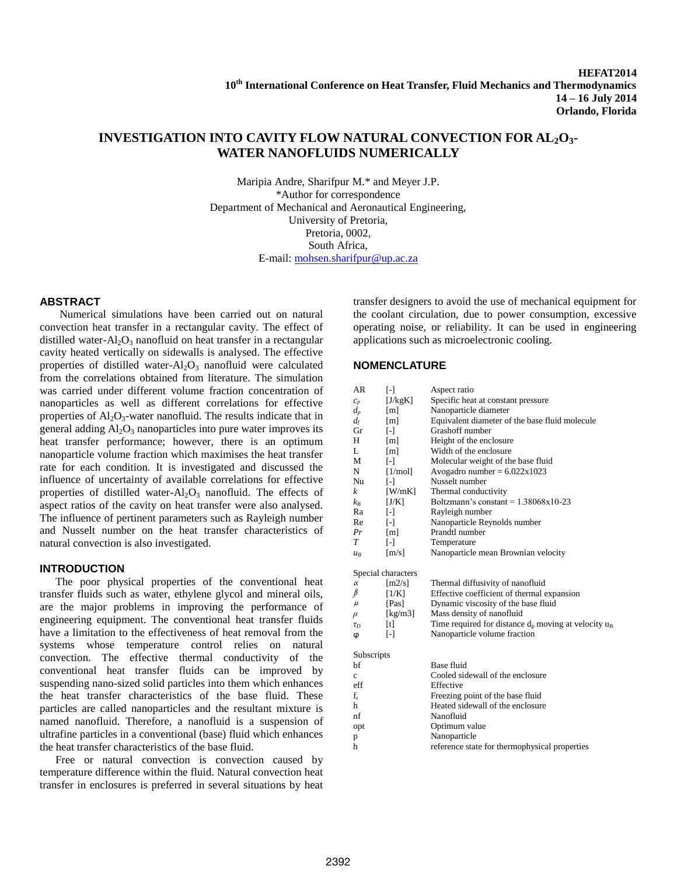# **INVESTIGATION INTO CAVITY FLOW NATURAL CONVECTION FOR AL2O3- WATER NANOFLUIDS NUMERICALLY**

Maripia Andre, Sharifpur M.\* and Meyer J.P. \*Author for correspondence Department of Mechanical and Aeronautical Engineering, University of Pretoria, Pretoria, 0002, South Africa, E-mail: [mohsen.sharifpur@up.ac.za](mailto:mohsen.sharifpur@up.ac.za)

## **ABSTRACT**

Numerical simulations have been carried out on natural convection heat transfer in a rectangular cavity. The effect of distilled water- $Al_2O_3$  nanofluid on heat transfer in a rectangular cavity heated vertically on sidewalls is analysed. The effective properties of distilled water- $Al_2O_3$  nanofluid were calculated from the correlations obtained from literature. The simulation was carried under different volume fraction concentration of nanoparticles as well as different correlations for effective properties of  $Al_2O_3$ -water nanofluid. The results indicate that in general adding  $Al_2O_3$  nanoparticles into pure water improves its heat transfer performance; however, there is an optimum nanoparticle volume fraction which maximises the heat transfer rate for each condition. It is investigated and discussed the influence of uncertainty of available correlations for effective properties of distilled water- $Al_2O_3$  nanofluid. The effects of aspect ratios of the cavity on heat transfer were also analysed. The influence of pertinent parameters such as Rayleigh number and Nusselt number on the heat transfer characteristics of natural convection is also investigated.

## **INTRODUCTION**

The poor physical properties of the conventional heat transfer fluids such as water, ethylene glycol and mineral oils, are the major problems in improving the performance of engineering equipment. The conventional heat transfer fluids have a limitation to the effectiveness of heat removal from the systems whose temperature control relies on natural convection. The effective thermal conductivity of the conventional heat transfer fluids can be improved by suspending nano-sized solid particles into them which enhances the heat transfer characteristics of the base fluid. These particles are called nanoparticles and the resultant mixture is named nanofluid. Therefore, a nanofluid is a suspension of ultrafine particles in a conventional (base) fluid which enhances the heat transfer characteristics of the base fluid.

Free or natural convection is convection caused by temperature difference within the fluid. Natural convection heat transfer in enclosures is preferred in several situations by heat transfer designers to avoid the use of mechanical equipment for the coolant circulation, due to power consumption, excessive operating noise, or reliability. It can be used in engineering applications such as microelectronic cooling.

## **NOMENCLATURE**

| AR          | $\lbrack - \rbrack$  | Aspect ratio                                              |  |
|-------------|----------------------|-----------------------------------------------------------|--|
| $c_p$       | [J/kgK]              | Specific heat at constant pressure                        |  |
| $d_p$       | [m]                  | Nanoparticle diameter                                     |  |
| $d_f$       | [m]                  | Equivalent diameter of the base fluid molecule            |  |
| Gr          | $\mathsf{F}$         | Grashoff number                                           |  |
| H           | [m]                  | Height of the enclosure                                   |  |
| L           | [m]                  | Width of the enclosure                                    |  |
| M           | $\lceil - \rceil$    | Molecular weight of the base fluid                        |  |
| N           | [1/mol]              | Avogadro number = $6.022 \times 1023$                     |  |
| Nu          | $\lceil - \rceil$    | Nusselt number                                            |  |
| k           | $[$ W/mK]            | Thermal conductivity                                      |  |
| $k_B$       | [J/K]                | Boltzmann's constant = $1.38068x10-23$                    |  |
| Ra          | $[ - ]$              | Rayleigh number                                           |  |
| Re          | $\lceil - \rceil$    | Nanoparticle Reynolds number                              |  |
| Pr          | [m]                  | Prandtl number                                            |  |
| T           | $\lceil - \rceil$    | Temperature                                               |  |
| $u_R$       | $\lceil m/s \rceil$  | Nanoparticle mean Brownian velocity                       |  |
|             | Special characters   |                                                           |  |
| $\alpha$    | $\lceil m2/s \rceil$ | Thermal diffusivity of nanofluid                          |  |
| β           | [1/K]                | Effective coefficient of thermal expansion                |  |
| μ           | [Pas]                | Dynamic viscosity of the base fluid                       |  |
| $\rho$      | [kg/m3]              | Mass density of nanofluid                                 |  |
| $\tau_D$    | $[t]$                | Time required for distance $d_p$ moving at velocity $u_B$ |  |
| φ           | $\lceil - \rceil$    | Nanoparticle volume fraction                              |  |
| Subscripts  |                      |                                                           |  |
| bf          |                      | Base fluid                                                |  |
| $\mathbf c$ |                      | Cooled sidewall of the enclosure                          |  |
| eff         |                      | Effective                                                 |  |
| $f_r$       |                      | Freezing point of the base fluid                          |  |
| h           |                      | Heated sidewall of the enclosure                          |  |
| nf          |                      | Nanofluid                                                 |  |
| opt         |                      | Optimum value                                             |  |
| p           |                      | Nanoparticle                                              |  |
| h           |                      | reference state for thermophysical properties             |  |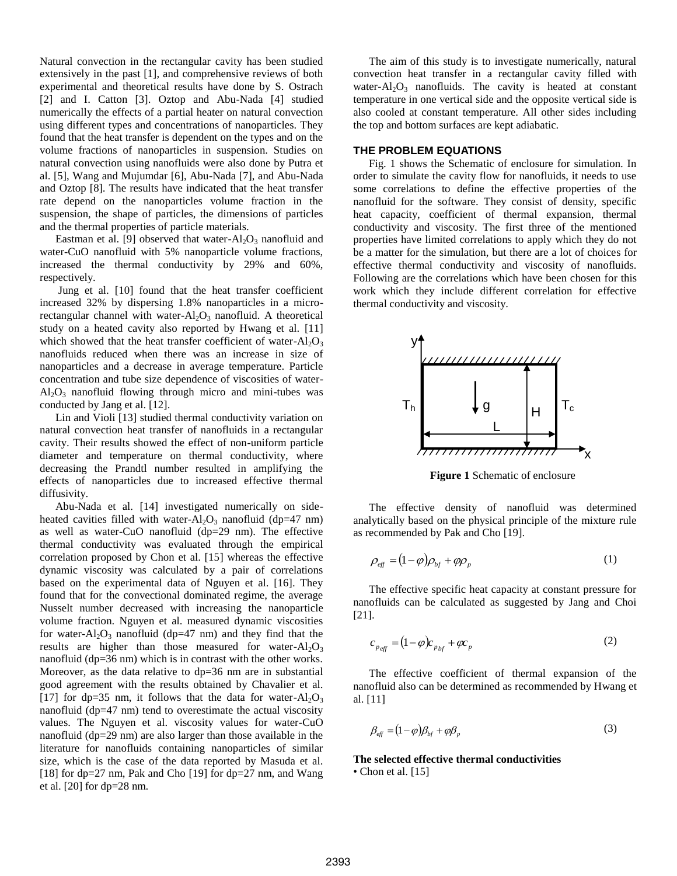Natural convection in the rectangular cavity has been studied extensively in the past [1], and comprehensive reviews of both experimental and theoretical results have done by S. Ostrach [2] and I. Catton [3]. Oztop and Abu-Nada [4] studied numerically the effects of a partial heater on natural convection using different types and concentrations of nanoparticles. They found that the heat transfer is dependent on the types and on the volume fractions of nanoparticles in suspension. Studies on natural convection using nanofluids were also done by Putra et al. [5], Wang and Mujumdar [6], Abu-Nada [7], and Abu-Nada and Oztop [8]. The results have indicated that the heat transfer rate depend on the nanoparticles volume fraction in the suspension, the shape of particles, the dimensions of particles and the thermal properties of particle materials.

Eastman et al. [9] observed that water- $Al_2O_3$  nanofluid and water-CuO nanofluid with 5% nanoparticle volume fractions, increased the thermal conductivity by 29% and 60%, respectively.

Jung et al. [10] found that the heat transfer coefficient increased 32% by dispersing 1.8% nanoparticles in a microrectangular channel with water- $Al_2O_3$  nanofluid. A theoretical study on a heated cavity also reported by Hwang et al. [11] which showed that the heat transfer coefficient of water- $Al_2O_3$ nanofluids reduced when there was an increase in size of nanoparticles and a decrease in average temperature. Particle concentration and tube size dependence of viscosities of water- $Al_2O_3$  nanofluid flowing through micro and mini-tubes was conducted by Jang et al. [12].

Lin and Violi [13] studied thermal conductivity variation on natural convection heat transfer of nanofluids in a rectangular cavity. Their results showed the effect of non-uniform particle diameter and temperature on thermal conductivity, where decreasing the Prandtl number resulted in amplifying the effects of nanoparticles due to increased effective thermal diffusivity.

Abu-Nada et al. [14] investigated numerically on sideheated cavities filled with water- $Al_2O_3$  nanofluid (dp=47 nm) as well as water-CuO nanofluid (dp=29 nm). The effective thermal conductivity was evaluated through the empirical correlation proposed by Chon et al. [15] whereas the effective dynamic viscosity was calculated by a pair of correlations based on the experimental data of Nguyen et al. [16]. They found that for the convectional dominated regime, the average Nusselt number decreased with increasing the nanoparticle volume fraction. Nguyen et al. measured dynamic viscosities for water- $Al_2O_3$  nanofluid (dp=47 nm) and they find that the results are higher than those measured for water- $Al_2O_3$ nanofluid (dp=36 nm) which is in contrast with the other works. Moreover, as the data relative to dp=36 nm are in substantial good agreement with the results obtained by Chavalier et al. [17] for dp=35 nm, it follows that the data for water- $A_1O_3$ nanofluid (dp=47 nm) tend to overestimate the actual viscosity values. The Nguyen et al. viscosity values for water-CuO nanofluid (dp=29 nm) are also larger than those available in the literature for nanofluids containing nanoparticles of similar size, which is the case of the data reported by Masuda et al. [18] for dp=27 nm, Pak and Cho [19] for dp=27 nm, and Wang et al. [20] for dp=28 nm.

The aim of this study is to investigate numerically, natural convection heat transfer in a rectangular cavity filled with water- $Al_2O_3$  nanofluids. The cavity is heated at constant temperature in one vertical side and the opposite vertical side is also cooled at constant temperature. All other sides including the top and bottom surfaces are kept adiabatic.

#### **THE PROBLEM EQUATIONS**

Fig. 1 shows the Schematic of enclosure for simulation. In order to simulate the cavity flow for nanofluids, it needs to use some correlations to define the effective properties of the nanofluid for the software. They consist of density, specific heat capacity, coefficient of thermal expansion, thermal conductivity and viscosity. The first three of the mentioned properties have limited correlations to apply which they do not be a matter for the simulation, but there are a lot of choices for effective thermal conductivity and viscosity of nanofluids. Following are the correlations which have been chosen for this work which they include different correlation for effective thermal conductivity and viscosity.



**Figure 1** Schematic of enclosure

The effective density of nanofluid was determined analytically based on the physical principle of the mixture rule as recommended by Pak and Cho [19].

$$
\rho_{\text{eff}} = (1 - \varphi)\rho_{\text{bf}} + \varphi\rho_{\text{p}} \tag{1}
$$

The effective specific heat capacity at constant pressure for nanofluids can be calculated as suggested by Jang and Choi [21].

$$
c_{p_{eff}} = (1 - \varphi)c_{p_{bf}} + \varphi c_p \tag{2}
$$

The effective coefficient of thermal expansion of the nanofluid also can be determined as recommended by Hwang et al. [11]

$$
\beta_{\rm eff} = (1 - \varphi)\beta_{\rm bf} + \varphi\beta_{\rm p} \tag{3}
$$

**The selected effective thermal conductivities** • Chon et al. [15]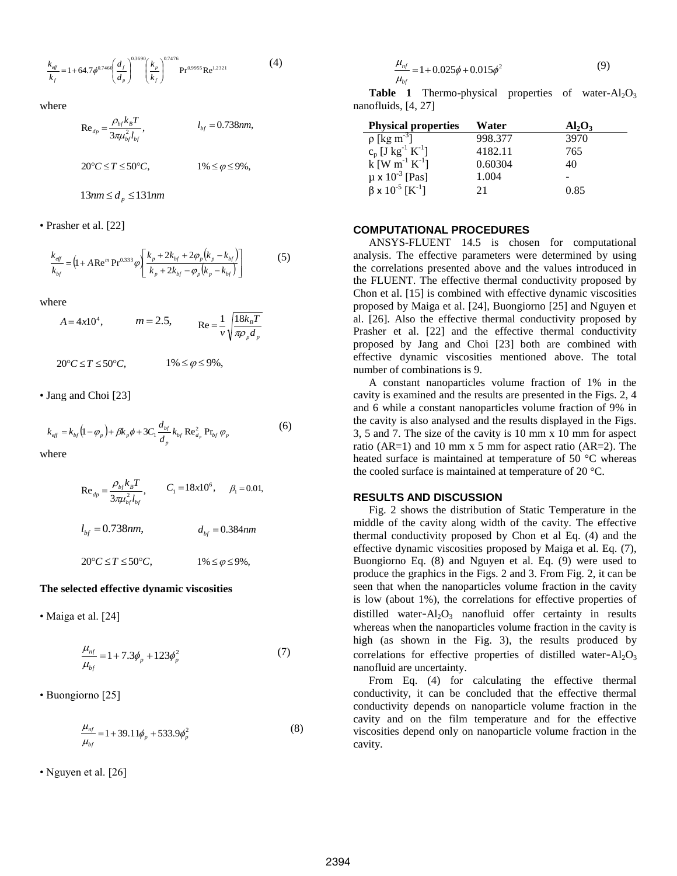$$
\frac{k_{eff}}{k_f} = 1 + 64.7 \phi^{0.7460} \left(\frac{d_f}{d_p}\right)^{0.3690} \left(\frac{k_p}{k_f}\right)^{0.7476} \text{Pr}^{0.9955} \text{Re}^{1.2321} \tag{4}
$$

where

$$
\text{Re}_{dp} = \frac{\rho_{bf} k_B T}{3\pi \mu_{bf}^2 l_{bf}}, \qquad l_{bf} = 0.738nm,
$$
\n
$$
20^{\circ}C \le T \le 50^{\circ}C, \qquad 1\% \le \varphi \le 9\%,
$$
\n
$$
13nm \le d_p \le 131nm
$$

• Prasher et al. [22]

$$
\frac{k_{eff}}{k_{bf}} = (1 + A \operatorname{Re}^m \operatorname{Pr}^{0.333} \varphi) \left[ \frac{k_p + 2k_{bf} + 2\varphi_p (k_p - k_{bf})}{k_p + 2k_{bf} - \varphi_p (k_p - k_{bf})} \right]
$$
(5)

where

$$
A = 4x10^4
$$
,  $m = 2.5$ ,  $Re = \frac{1}{v} \sqrt{\frac{18k_B T}{\pi \rho_p d_p}}$ 

 $20^{\circ}C \leq T \leq 50^{\circ}C$ ,  $1\% \leq \varphi \leq 9\%,$ 

• Jang and Choi [23]

$$
k_{\text{eff}} = k_{\text{bf}} (1 - \varphi_{p}) + \beta k_{p} \phi + 3C_{1} \frac{d_{\text{bf}}}{d_{p}} k_{\text{bf}} \text{Re}_{d_{p}}^{2} \text{Pr}_{\text{bf}} \varphi_{p}
$$
(6)

where

Re<sub>dp</sub> = 
$$
\frac{\rho_{bf} k_B T}{3\pi \mu_{bf}^2 l_{bf}}
$$
,  $C_1 = 18x10^6$ ,  $\beta_1 = 0.01$ ,  
 $l_{bf} = 0.738nm$ ,  $d_{bf} = 0.384nm$ 

$$
20^{\circ}C \le T \le 50^{\circ}C, \qquad 1\% \le \varphi \le 9\%,
$$

#### **The selected effective dynamic viscosities**

• Maiga et al. [24]

$$
\frac{\mu_{nf}}{\mu_{bf}} = 1 + 7.3\phi_p + 123\phi_p^2
$$
\n(7)

• Buongiorno [25]

$$
\frac{\mu_{nf}}{\mu_{bf}} = 1 + 39.11\phi_p + 533.9\phi_p^2
$$
\n(8)

• Nguyen et al. [26]

$$
\frac{\mu_{nf}}{\mu_{bf}} = 1 + 0.025\phi + 0.015\phi^2
$$
\n(9)

**Table 1** Thermo-physical properties of water- $Al_2O_3$ nanofluids, [4, 27]

| <b>Physical properties</b>                                                            | Water   | $Al_2O_3$ |
|---------------------------------------------------------------------------------------|---------|-----------|
| $\rho$ [kg m <sup>-3</sup> ]                                                          | 998.377 | 3970      |
| $c_p$ [J kg <sup>-1</sup> K <sup>-1</sup> ]<br>k [W m <sup>-1</sup> K <sup>-1</sup> ] | 4182.11 | 765       |
|                                                                                       | 0.60304 | 40        |
| $\mu \times 10^{-3}$ [Pas]                                                            | 1.004   |           |
| $\beta \times 10^{-5}$ [K <sup>-1</sup> ]                                             | 21      | 0.85      |

## **COMPUTATIONAL PROCEDURES**

ANSYS-FLUENT 14.5 is chosen for computational analysis. The effective parameters were determined by using the correlations presented above and the values introduced in the FLUENT. The effective thermal conductivity proposed by Chon et al. [15] is combined with effective dynamic viscosities proposed by Maiga et al. [24], Buongiorno [25] and Nguyen et al. [26]. Also the effective thermal conductivity proposed by Prasher et al. [22] and the effective thermal conductivity proposed by Jang and Choi [23] both are combined with effective dynamic viscosities mentioned above. The total number of combinations is 9.

A constant nanoparticles volume fraction of 1% in the cavity is examined and the results are presented in the Figs. 2, 4 and 6 while a constant nanoparticles volume fraction of 9% in the cavity is also analysed and the results displayed in the Figs. 3, 5 and 7. The size of the cavity is 10 mm x 10 mm for aspect ratio (AR=1) and 10 mm x 5 mm for aspect ratio (AR=2). The heated surface is maintained at temperature of 50 °C whereas the cooled surface is maintained at temperature of 20 °C.

#### **RESULTS AND DISCUSSION**

Fig. 2 shows the distribution of Static Temperature in the middle of the cavity along width of the cavity. The effective thermal conductivity proposed by Chon et al Eq. (4) and the effective dynamic viscosities proposed by Maiga et al. Eq. (7), Buongiorno Eq. (8) and Nguyen et al. Eq. (9) were used to produce the graphics in the Figs. 2 and 3. From Fig. 2, it can be seen that when the nanoparticles volume fraction in the cavity is low (about 1%), the correlations for effective properties of distilled water- $Al_2O_3$  nanofluid offer certainty in results whereas when the nanoparticles volume fraction in the cavity is high (as shown in the Fig. 3), the results produced by correlations for effective properties of distilled water- $Al_2O_3$ nanofluid are uncertainty.

From Eq. (4) for calculating the effective thermal conductivity, it can be concluded that the effective thermal conductivity depends on nanoparticle volume fraction in the cavity and on the film temperature and for the effective viscosities depend only on nanoparticle volume fraction in the cavity.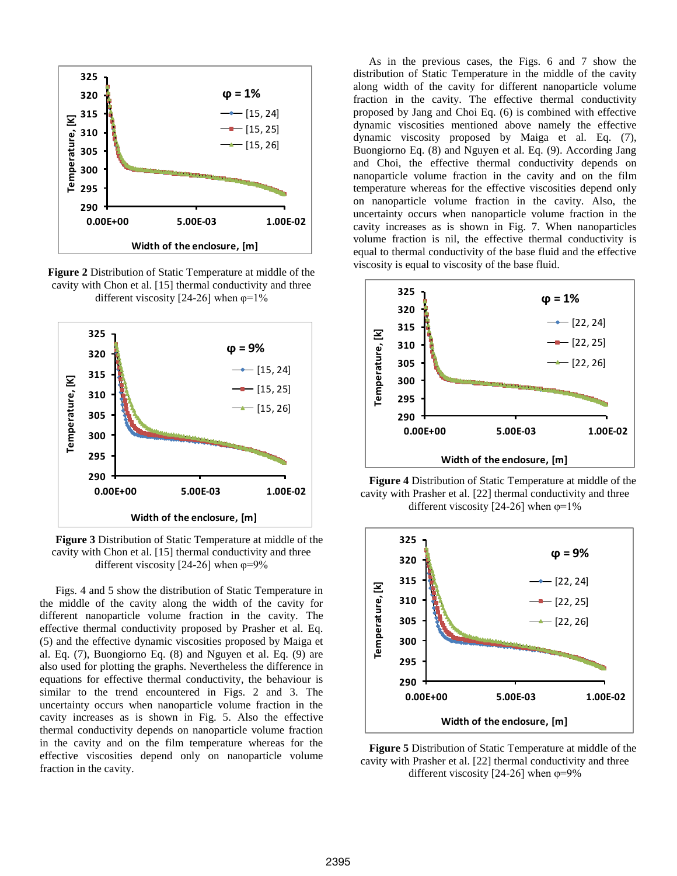

**Figure 2** Distribution of Static Temperature at middle of the cavity with Chon et al. [15] thermal conductivity and three different viscosity [24-26] when  $\varphi = 1\%$ 



**Figure 3** Distribution of Static Temperature at middle of the cavity with Chon et al. [15] thermal conductivity and three different viscosity [24-26] when  $\varphi = 9\%$ 

Figs. 4 and 5 show the distribution of Static Temperature in the middle of the cavity along the width of the cavity for different nanoparticle volume fraction in the cavity. The effective thermal conductivity proposed by Prasher et al. Eq. (5) and the effective dynamic viscosities proposed by Maiga et al. Eq. (7), Buongiorno Eq. (8) and Nguyen et al. Eq. (9) are also used for plotting the graphs. Nevertheless the difference in equations for effective thermal conductivity, the behaviour is similar to the trend encountered in Figs. 2 and 3. The uncertainty occurs when nanoparticle volume fraction in the cavity increases as is shown in Fig. 5. Also the effective thermal conductivity depends on nanoparticle volume fraction in the cavity and on the film temperature whereas for the effective viscosities depend only on nanoparticle volume fraction in the cavity.

As in the previous cases, the Figs. 6 and 7 show the distribution of Static Temperature in the middle of the cavity along width of the cavity for different nanoparticle volume fraction in the cavity. The effective thermal conductivity proposed by Jang and Choi Eq. (6) is combined with effective dynamic viscosities mentioned above namely the effective dynamic viscosity proposed by Maiga et al. Eq. (7), Buongiorno Eq. (8) and Nguyen et al. Eq. (9). According Jang and Choi, the effective thermal conductivity depends on nanoparticle volume fraction in the cavity and on the film temperature whereas for the effective viscosities depend only on nanoparticle volume fraction in the cavity. Also, the uncertainty occurs when nanoparticle volume fraction in the cavity increases as is shown in Fig. 7. When nanoparticles volume fraction is nil, the effective thermal conductivity is equal to thermal conductivity of the base fluid and the effective viscosity is equal to viscosity of the base fluid.



**Figure 4** Distribution of Static Temperature at middle of the cavity with Prasher et al. [22] thermal conductivity and three different viscosity [24-26] when  $\varphi = 1\%$ 



**Figure 5** Distribution of Static Temperature at middle of the cavity with Prasher et al. [22] thermal conductivity and three different viscosity  $[24-26]$  when  $\varphi=9\%$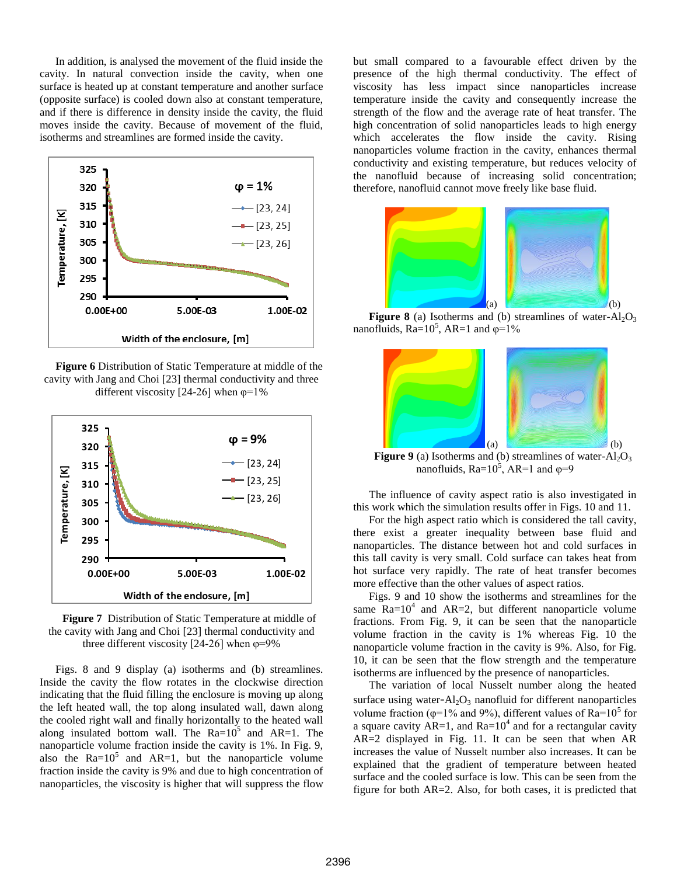In addition, is analysed the movement of the fluid inside the cavity. In natural convection inside the cavity, when one surface is heated up at constant temperature and another surface (opposite surface) is cooled down also at constant temperature, and if there is difference in density inside the cavity, the fluid moves inside the cavity. Because of movement of the fluid, isotherms and streamlines are formed inside the cavity.



**Figure 6** Distribution of Static Temperature at middle of the cavity with Jang and Choi [23] thermal conductivity and three different viscosity [24-26] when  $\varphi = 1\%$ 



**Figure 7** Distribution of Static Temperature at middle of the cavity with Jang and Choi [23] thermal conductivity and three different viscosity [24-26] when  $\varphi$ =9%

Figs. 8 and 9 display (a) isotherms and (b) streamlines. Inside the cavity the flow rotates in the clockwise direction indicating that the fluid filling the enclosure is moving up along the left heated wall, the top along insulated wall, dawn along the cooled right wall and finally horizontally to the heated wall along insulated bottom wall. The  $Ra=10^5$  and  $AR=1$ . The nanoparticle volume fraction inside the cavity is 1%. In Fig. 9, also the  $Ra=10^5$  and  $AR=1$ , but the nanoparticle volume fraction inside the cavity is 9% and due to high concentration of nanoparticles, the viscosity is higher that will suppress the flow

but small compared to a favourable effect driven by the presence of the high thermal conductivity. The effect of viscosity has less impact since nanoparticles increase temperature inside the cavity and consequently increase the strength of the flow and the average rate of heat transfer. The high concentration of solid nanoparticles leads to high energy which accelerates the flow inside the cavity. Rising nanoparticles volume fraction in the cavity, enhances thermal conductivity and existing temperature, but reduces velocity of the nanofluid because of increasing solid concentration; therefore, nanofluid cannot move freely like base fluid.



**Figure 8** (a) Isotherms and (b) streamlines of water- $Al_2O_3$ nanofluids,  $Ra=10^5$ ,  $AR=1$  and  $\varphi=1\%$ 



**Figure 9** (a) Isotherms and (b) streamlines of water- $Al_2O_3$ nanofluids,  $Ra=10^5$ ,  $AR=1$  and  $\varphi=9$ 

The influence of cavity aspect ratio is also investigated in this work which the simulation results offer in Figs. 10 and 11.

For the high aspect ratio which is considered the tall cavity, there exist a greater inequality between base fluid and nanoparticles. The distance between hot and cold surfaces in this tall cavity is very small. Cold surface can takes heat from hot surface very rapidly. The rate of heat transfer becomes more effective than the other values of aspect ratios.

Figs. 9 and 10 show the isotherms and streamlines for the same  $Ra=10^4$  and AR=2, but different nanoparticle volume fractions. From Fig. 9, it can be seen that the nanoparticle volume fraction in the cavity is 1% whereas Fig. 10 the nanoparticle volume fraction in the cavity is 9%. Also, for Fig. 10, it can be seen that the flow strength and the temperature isotherms are influenced by the presence of nanoparticles.

The variation of local Nusselt number along the heated surface using water- $Al<sub>2</sub>O<sub>3</sub>$  nanofluid for different nanoparticles volume fraction ( $\varphi$ =1% and 9%), different values of Ra=10<sup>5</sup> for a square cavity  $AR=1$ , and  $Ra=10^4$  and for a rectangular cavity AR=2 displayed in Fig. 11. It can be seen that when AR increases the value of Nusselt number also increases. It can be explained that the gradient of temperature between heated surface and the cooled surface is low. This can be seen from the figure for both AR=2. Also, for both cases, it is predicted that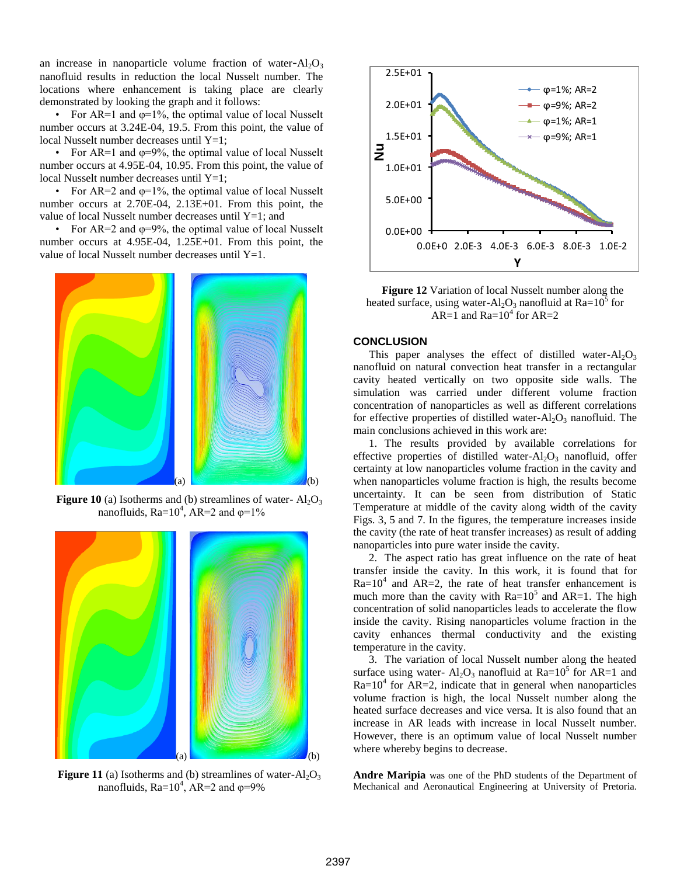an increase in nanoparticle volume fraction of water- $Al_2O_3$ nanofluid results in reduction the local Nusselt number. The locations where enhancement is taking place are clearly demonstrated by looking the graph and it follows:

• For AR=1 and  $\varphi$ =1%, the optimal value of local Nusselt number occurs at 3.24E-04, 19.5. From this point, the value of local Nusselt number decreases until  $Y=1$ ;

• For AR=1 and  $\varphi$ =9%, the optimal value of local Nusselt number occurs at 4.95E-04, 10.95. From this point, the value of local Nusselt number decreases until  $Y=1$ ;

• For AR=2 and  $\varphi$ =1%, the optimal value of local Nusselt number occurs at 2.70E-04, 2.13E+01. From this point, the value of local Nusselt number decreases until  $Y=1$ ; and

• For AR=2 and  $\varphi$ =9%, the optimal value of local Nusselt number occurs at 4.95E-04, 1.25E+01. From this point, the value of local Nusselt number decreases until  $Y=1$ .



**Figure 10** (a) Isotherms and (b) streamlines of water- $Al_2O_3$ nanofluids,  $Ra=10^4$ ,  $AR=2$  and  $\varphi=1\%$ 



**Figure 11** (a) Isotherms and (b) streamlines of water- $Al_2O_3$ nanofluids,  $Ra=10^4$ ,  $AR=2$  and  $\varphi=9\%$ 



**Figure 12** Variation of local Nusselt number along the heated surface, using water- $Al_2O_3$  nanofluid at  $Ra=10^5$  for AR=1 and Ra= $10^4$  for AR=2

## **CONCLUSION**

This paper analyses the effect of distilled water- $Al_2O_3$ nanofluid on natural convection heat transfer in a rectangular cavity heated vertically on two opposite side walls. The simulation was carried under different volume fraction concentration of nanoparticles as well as different correlations for effective properties of distilled water- $Al_2O_3$  nanofluid. The main conclusions achieved in this work are:

1. The results provided by available correlations for effective properties of distilled water- $Al_2O_3$  nanofluid, offer certainty at low nanoparticles volume fraction in the cavity and when nanoparticles volume fraction is high, the results become uncertainty. It can be seen from distribution of Static Temperature at middle of the cavity along width of the cavity Figs. 3, 5 and 7. In the figures, the temperature increases inside the cavity (the rate of heat transfer increases) as result of adding nanoparticles into pure water inside the cavity.

2. The aspect ratio has great influence on the rate of heat transfer inside the cavity. In this work, it is found that for  $Ra=10^4$  and  $AR=2$ , the rate of heat transfer enhancement is much more than the cavity with  $Ra=10^5$  and  $AR=1$ . The high concentration of solid nanoparticles leads to accelerate the flow inside the cavity. Rising nanoparticles volume fraction in the cavity enhances thermal conductivity and the existing temperature in the cavity.

3. The variation of local Nusselt number along the heated surface using water-  $Al_2O_3$  nanofluid at  $Ra = 10^5$  for AR=1 and  $Ra=10^4$  for  $AR=2$ , indicate that in general when nanoparticles volume fraction is high, the local Nusselt number along the heated surface decreases and vice versa. It is also found that an increase in AR leads with increase in local Nusselt number. However, there is an optimum value of local Nusselt number where whereby begins to decrease.

**Andre Maripia** was one of the PhD students of the Department of Mechanical and Aeronautical Engineering at University of Pretoria.